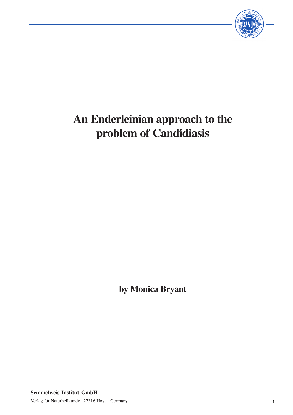

# **An Enderleinian approach to the problem of Candidiasis**

**by Monica Bryant**

**Semmelweis-Institut GmbH**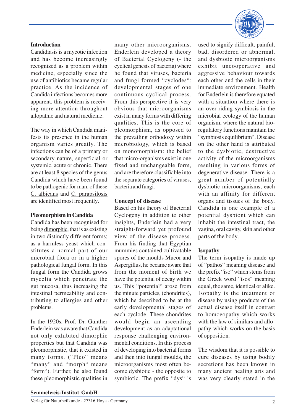## **Semmelweis-Institut GmbH**

#### **Introduction**

Candidiasis is a mycotic infection and has become increasingly recognized as a problem within medicine, especially since the use of antibiotics became regular practice. As the incidence of Candida infections becomes more apparent, this problem is receiving more attention throughout allopathic and natural medicine.

The way in which Candida manifests its presence in the human organism varies greatly. The infections can be of a primary or secondary nature, superficial or systemic, acute or chronic. There are at least 8 species of the genus Candida which have been found to be pathogenic for man, of these C. albicans and C. parapsilosis are identified most frequently.

## **Pleomorphism in Candida**

Candida has been recognised for being dimorphic, that is as existing in two distinctly different forms; as a harmless yeast which constitutes a normal part of our microbial flora or in a higher pathological fungal form. In this fungal form the Candida grows mycelia which penetrate the gut mucosa, thus increasing the intestinal permeability and contributing to allergies and other problems.

In the 1920s, Prof. Dr. Günther Enderlein was aware that Candida not only exhibited dimorphic properties but that Candida was pleomorphistic, that it existed in many forms. ("Pleo" means "many" and "morph" means "form"). Further, he also found these pleomorphistic qualities in

many other microorganisms. Enderlein developed a theory of Bacterial Cyclogeny (- the cyclical genesis of bacteria) where he found that viruses, bacteria and fungi formed "cyclodes": developmental stages of one continuous cyclical process. From this perspective it is very obvious that microorganisms exist in many forms with differing qualities. This is the core of pleomorphism, as opposed to the prevailing orthodoxy within microbiology, which is based on monomorphism: the belief that micro-organisms exist in one fixed and unchangeable form, and are therefore classifiable into the separate categories of viruses, bacteria and fungi.

## **Concept of disease**

Based on his theory of Bacterial Cyclogeny in addition to other insights, Enderlein had a very straight-forward yet profound view of the disease process. From his finding that Egyptian mummies contained cultivatable spores of the moulds Mucor and Aspergillus, he became aware that from the moment of birth we have the potential of decay within us. This "potential" arose from the minute particles, (chondrites), which he described to be at the early developmental stages of each cyclode. These chondrites would begin an ascending development as an adaptational response challenging environmental conditions. In this process of developing into bacterial forms and then into fungal moulds, the microorganisms most often become dysbiotic - the opposite to symbiotic. The prefix "dys" is

used to signify difficult, painful, bad, disordered or abnormal, and dysbiotic microorganisms exhibit uncooperative and aggressive behaviour towards each other and the cells in their immediate environment. Health for Enderlein is therefore equated with a situation where there is an over-riding symbiosis in the microbial ecology of the human organism, where the natural bioregulatory functions maintain the "symbiosis equilibrium". Disease on the other hand is attributed to the dysbiotic, destructive activity of the microorganisms resulting in various forms of degenerative disease. There is a great number of potentially dysbiotic microorganisms, each with an affinity for different organs and tissues of the body. Candida is one example of a potential dysbiont which can inhabit the intestinal tract, the vagina, oral cavity, skin and other parts of the body.

# **Isopathy**

The term isopathy is made up of "pathos" meaning disease and the prefix "iso" which stems from the Greek word "isos" meaning equal, the same, identical or alike. Isopathy is the treatment of disease by using products of the actual disease itself in contrast to homoeopathy which works with the law of similars and allopathy which works on the basis of opposition.

The wisdom that it is possible to cure diseases by using bodily secretions has been known in many ancient healing arts and was very clearly stated in the

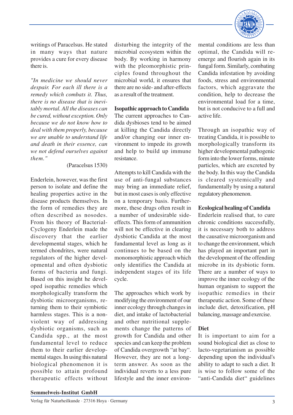

writings of Paracelsus. He stated in many ways that nature provides a cure for every disease there is.

*"In medicine we should never despair. For each ill there is a remedy which combats it. Thus, there is no disease that is inevitably mortal. All the diseases can be cured, without exception. Only because we do not know how to deal with them properly, because we are unable to understand life and death in their essence, can we not defend ourselves against them."*

#### (Paracelsus 1530)

Enderlein, however, was the first person to isolate and define the healing properties active in the disease products themselves. In the form of remedies they are often described as nosodes. From his theory of Bacterial-Cyclogeny Enderlein made the discovery that the earlier developmental stages, which he termed chondrites, were natural regulators of the higher developmental and often dysbiotic forms of bacteria and fungi. Based on this insight he developed isopathic remedies which morphologically transform the dysbiotic microorganisms, returning them to their symbiotic harmless stages. This is a nonviolent way of addressing dysbiotic organisms, such as Candida spp., at the most fundamental level to reduce them to their earlier developmental stages. In using this natural biological phenomenon it is possible to attain profound therapeutic effects without

disturbing the integrity of the microbial ecosystem within the body. By working in harmony with the pleomorphistic principles found throughout the microbial world, it ensures that there are no side- and after-effects as a result of the treatment.

## **Isopathic approach to Candida**

The current approaches to Candida dysbioses tend to be aimed at killing the Candida directly and/or changing our inner environment to impede its growth and help to build up immune resistance.

Attempts to kill Candida with the use of anti-fungal substances may bring an immediate relief, but in most cases is only effective on a temporary basis. Furthermore, these drugs often result in a number of undesirable sideeffects. This form of ammunition will not be effective in clearing dysbiotic Candida at the most fundamental level as long as it continues to be based on the monomorphistic approach which only identifies the Candida at independent stages of its life cycle.

The approaches which work by modifying the environment of our inner ecology through changes in diet, and intake of lactobacterial and other nutritional supplements change the patterns of growth for Candida and other species and can keep the problem of Candida overgrowth "at bay". However, they are not a longterm answer. As soon as the individual reverts to a less pure lifestyle and the inner environmental conditions are less than optimal, the Candida will reemerge and flourish again in its fungal form. Similarly, combating Candida infestation by avoiding foods, stress and environmental factors, which aggravate the condition, help to decrease the environmental load for a time, but is not conducive to a full and active life.

Through an isopathic way of treating Candida, it is possible to morphologically transform its higher developmental pathogenic form into the lower forms, minute particles, which are excreted by the body. In this way the Candida is cleared systemically and fundamentally by using a natural regulatory phenomenon.

#### **Ecological healing of Candida**

Enderlein realised that, to cure chronic conditions successfully, it is necessary both to address the causative microorganism and to change the environment, which has played an important part in the development of the offending microbe in its dysbiotic form. There are a number of ways to improve the inner ecology of the human organism to support the isopathic remedies in their therapeutic action. Some of these include diet, detoxification, pH balancing, massage and exercise.

## **Diet**

It is important to aim for a sound biological diet as close to lacto-vegetarianism as possible depending upon the individual's ability to adapt to such a diet. It is wise to follow some of the "anti-Candida diet" guidelines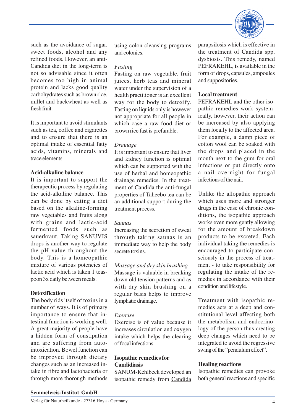

such as the avoidance of sugar, sweet foods, alcohol and any refined foods. However, an anti-Candida diet in the long-term is not so advisable since it often becomes too high in animal protein and lacks good quality carbohydrates such as brown rice, millet and buckwheat as well as fresh fruit.

It is important to avoid stimulants such as tea, coffee and cigarettes and to ensure that there is an optimal intake of essential fatty acids, vitamins, minerals and trace elements.

## **Acid-alkaline balance**

It is important to support the therapeutic process by regulating the acid-alkaline balance. This can be done by eating a diet based on the alkaline-forming raw vegetables and fruits along with grains and lactic-acid fermented foods such as sauerkraut. Taking SANUVIS drops is another way to regulate the pH value throughout the body. This is a homeopathic mixture of various potencies of lactic acid which is taken 1 teaspoon 3x daily between meals.

## **Detoxification**

The body rids itself of toxins in a number of ways. It is of primary importance to ensure that intestinal function is working well. A great majority of people have a hidden form of constipation and are suffering from autointoxication. Bowel function can be improved through dietary changes such as an increased intake in fibre and lactobacteria or through more thorough methods

using colon cleansing programs and colonics.

### *Fasting*

Fasting on raw vegetable, fruit juices, herb teas and mineral water under the supervision of a health practitioner is an excellent way for the body to detoxify. Fasting on liquids only is however not appropriate for all people in which case a raw food diet or brown rice fast is prefarable.

## *Drainage*

It is important to ensure that liver and kidney function is optimal which can be supported with the use of herbal and homeopathic drainage remedies. In the treatment of Candida the anti-fungal properties of Taheebo tea can be an additional support during the treatment process.

## *Saunas*

Increasing the secretion of sweat through taking saunas is an immediate way to help the body secrete toxins.

*Massage and dry skin brushing* Massage is valuable in breaking down old tension patterns and as with dry skin brushing on a regular basis helps to improve lymphatic drainage.

# *Exercise*

Exercise is of value because it increases circulation and oxygen intake which helps the clearing of focal infections.

## **Isopathic remedies for Candidiasis**

SANUM-Kehlbeck developed an isopathic remedy from Candida parapsilosis which is effective in the treatment of Candida spp. dysbiosis. This remedy, named PEFRAKEHL, is available in the form of drops, capsules, ampoules and suppositories.

# **Local treatment**

PEFRAKEHL and the other isopathic remedies work systemically, however, their action can be increased by also applying them locally to the affected area. For example, a damp piece of cotton wool can be soaked with the drops and placed in the mouth next to the gum for oral infections or put directly onto a nail overnight for fungal infections of the nail.

Unlike the allopathic approach which uses more and stronger drugs in the case of chronic conditions, the isopathic approach works even more gently allowing for the amount of breakdown products to be excreted. Each individual taking the remedies is encouraged to participate consciously in the process of treatment - to take responsibility for regulating the intake of the remedies in accordance with their condition and lifestyle.

Treatment with isopathic remedies acts at a deep and constitutional level affecting both the metabolism and endocrinology of the person thus creating deep changes which need to be integrated to avoid the regressive swing of the "pendulum effect".

# **Healing reactions**

Isopathic remedies can provoke both general reactions and specific